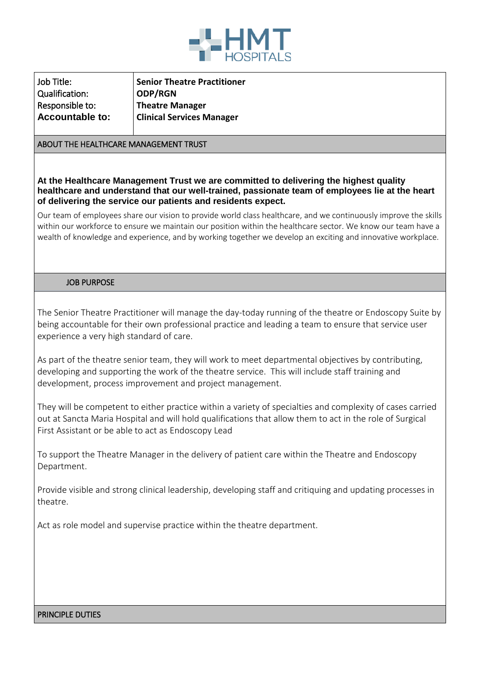

| Senior Theatre Practitioner                  |
|----------------------------------------------|
| ODP/RGN                                      |
| Theatre Manager<br>Clinical Services Manager |
|                                              |
|                                              |

#### ABOUT THE HEALTHCARE MANAGEMENT TRUST

**At the Healthcare Management Trust we are committed to delivering the highest quality healthcare and understand that our well-trained, passionate team of employees lie at the heart of delivering the service our patients and residents expect.**

Our team of employees share our vision to provide world class healthcare, and we continuously improve the skills within our workforce to ensure we maintain our position within the healthcare sector. We know our team have a wealth of knowledge and experience, and by working together we develop an exciting and innovative workplace.

#### JOB PURPOSE

The Senior Theatre Practitioner will manage the day-today running of the theatre or Endoscopy Suite by being accountable for their own professional practice and leading a team to ensure that service user experience a very high standard of care.

As part of the theatre senior team, they will work to meet departmental objectives by contributing, developing and supporting the work of the theatre service. This will include staff training and development, process improvement and project management.

They will be competent to either practice within a variety of specialties and complexity of cases carried out at Sancta Maria Hospital and will hold qualifications that allow them to act in the role of Surgical First Assistant or be able to act as Endoscopy Lead

To support the Theatre Manager in the delivery of patient care within the Theatre and Endoscopy Department.

Provide visible and strong clinical leadership, developing staff and critiquing and updating processes in theatre.

Act as role model and supervise practice within the theatre department.

#### PRINCIPLE DUTIES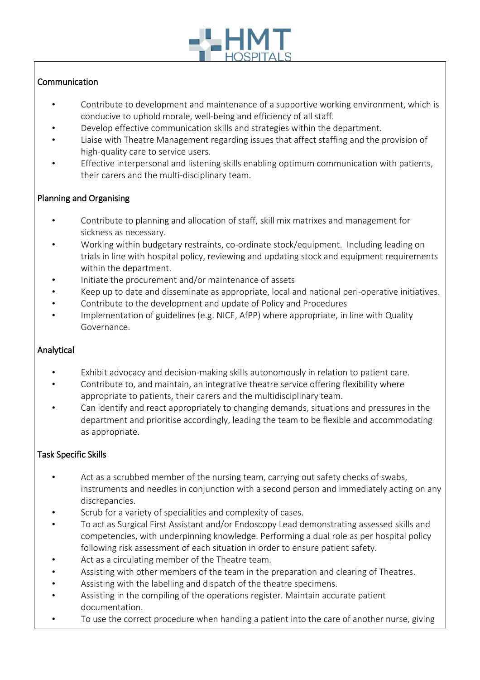

# **Communication**

- Contribute to development and maintenance of a supportive working environment, which is conducive to uphold morale, well-being and efficiency of all staff.
- Develop effective communication skills and strategies within the department.
- Liaise with Theatre Management regarding issues that affect staffing and the provision of high-quality care to service users.
- Effective interpersonal and listening skills enabling optimum communication with patients, their carers and the multi-disciplinary team.

## Planning and Organising

- Contribute to planning and allocation of staff, skill mix matrixes and management for sickness as necessary.
- Working within budgetary restraints, co-ordinate stock/equipment. Including leading on trials in line with hospital policy, reviewing and updating stock and equipment requirements within the department.
- Initiate the procurement and/or maintenance of assets
- Keep up to date and disseminate as appropriate, local and national peri-operative initiatives.
- Contribute to the development and update of Policy and Procedures
- Implementation of guidelines (e.g. NICE, AfPP) where appropriate, in line with Quality Governance.

### Analytical

- Exhibit advocacy and decision-making skills autonomously in relation to patient care.
- Contribute to, and maintain, an integrative theatre service offering flexibility where appropriate to patients, their carers and the multidisciplinary team.
- Can identify and react appropriately to changing demands, situations and pressures in the department and prioritise accordingly, leading the team to be flexible and accommodating as appropriate.

### Task Specific Skills

- Act as a scrubbed member of the nursing team, carrying out safety checks of swabs, instruments and needles in conjunction with a second person and immediately acting on any discrepancies.
- Scrub for a variety of specialities and complexity of cases.
- To act as Surgical First Assistant and/or Endoscopy Lead demonstrating assessed skills and competencies, with underpinning knowledge. Performing a dual role as per hospital policy following risk assessment of each situation in order to ensure patient safety.
- Act as a circulating member of the Theatre team.
- Assisting with other members of the team in the preparation and clearing of Theatres.
- Assisting with the labelling and dispatch of the theatre specimens.
- Assisting in the compiling of the operations register. Maintain accurate patient documentation.
- To use the correct procedure when handing a patient into the care of another nurse, giving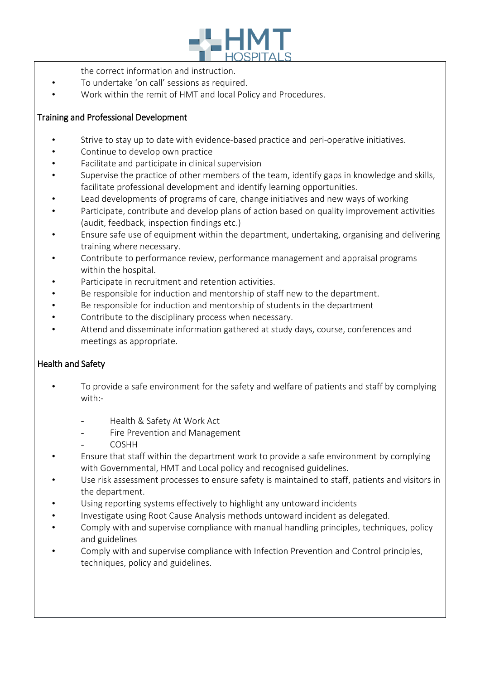

- the correct information and instruction.
- To undertake 'on call' sessions as required.
- Work within the remit of HMT and local Policy and Procedures.

## Training and Professional Development

- Strive to stay up to date with evidence-based practice and peri-operative initiatives.
- Continue to develop own practice
- Facilitate and participate in clinical supervision
- Supervise the practice of other members of the team, identify gaps in knowledge and skills, facilitate professional development and identify learning opportunities.
- Lead developments of programs of care, change initiatives and new ways of working
- Participate, contribute and develop plans of action based on quality improvement activities (audit, feedback, inspection findings etc.)
- Ensure safe use of equipment within the department, undertaking, organising and delivering training where necessary.
- Contribute to performance review, performance management and appraisal programs within the hospital.
- Participate in recruitment and retention activities.
- Be responsible for induction and mentorship of staff new to the department.
- Be responsible for induction and mentorship of students in the department
- Contribute to the disciplinary process when necessary.
- Attend and disseminate information gathered at study days, course, conferences and meetings as appropriate.

### Health and Safety

- To provide a safe environment for the safety and welfare of patients and staff by complying with:-
	- Health & Safety At Work Act
	- Fire Prevention and Management
	- **COSHH**
- Ensure that staff within the department work to provide a safe environment by complying with Governmental, HMT and Local policy and recognised guidelines.
- Use risk assessment processes to ensure safety is maintained to staff, patients and visitors in the department.
- Using reporting systems effectively to highlight any untoward incidents
- Investigate using Root Cause Analysis methods untoward incident as delegated.
- Comply with and supervise compliance with manual handling principles, techniques, policy and guidelines
- Comply with and supervise compliance with Infection Prevention and Control principles, techniques, policy and guidelines.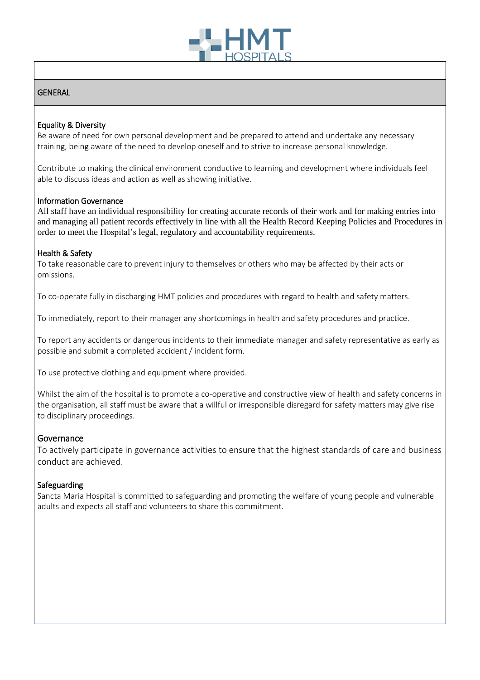

### **GENERAL**

### Equality & Diversity

Be aware of need for own personal development and be prepared to attend and undertake any necessary training, being aware of the need to develop oneself and to strive to increase personal knowledge.

Contribute to making the clinical environment conductive to learning and development where individuals feel able to discuss ideas and action as well as showing initiative.

#### Information Governance

All staff have an individual responsibility for creating accurate records of their work and for making entries into and managing all patient records effectively in line with all the Health Record Keeping Policies and Procedures in order to meet the Hospital's legal, regulatory and accountability requirements.

#### Health & Safety

To take reasonable care to prevent injury to themselves or others who may be affected by their acts or omissions.

To co-operate fully in discharging HMT policies and procedures with regard to health and safety matters.

To immediately, report to their manager any shortcomings in health and safety procedures and practice.

To report any accidents or dangerous incidents to their immediate manager and safety representative as early as possible and submit a completed accident / incident form.

To use protective clothing and equipment where provided.

Whilst the aim of the hospital is to promote a co-operative and constructive view of health and safety concerns in the organisation, all staff must be aware that a willful or irresponsible disregard for safety matters may give rise to disciplinary proceedings.

#### **Governance**

To actively participate in governance activities to ensure that the highest standards of care and business conduct are achieved.

#### Safeguarding

Sancta Maria Hospital is committed to safeguarding and promoting the welfare of young people and vulnerable adults and expects all staff and volunteers to share this commitment.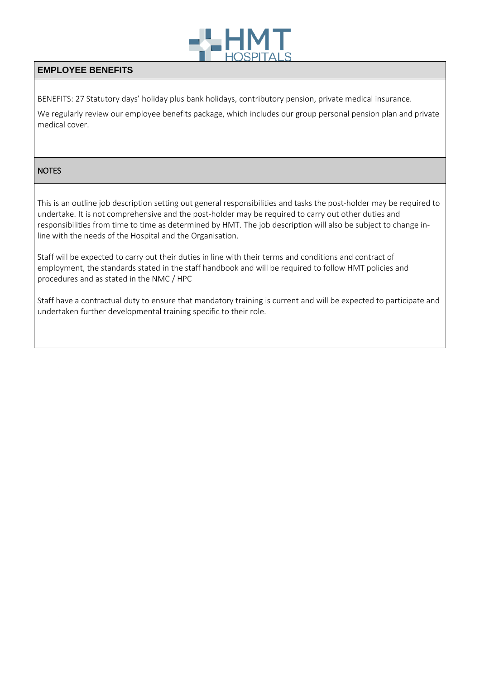

## **EMPLOYEE BENEFITS**

BENEFITS: 27 Statutory days' holiday plus bank holidays, contributory pension, private medical insurance.

We regularly review our employee benefits package, which includes our group personal pension plan and private medical cover.

### **NOTES**

This is an outline job description setting out general responsibilities and tasks the post-holder may be required to undertake. It is not comprehensive and the post-holder may be required to carry out other duties and responsibilities from time to time as determined by HMT. The job description will also be subject to change inline with the needs of the Hospital and the Organisation.

Staff will be expected to carry out their duties in line with their terms and conditions and contract of employment, the standards stated in the staff handbook and will be required to follow HMT policies and procedures and as stated in the NMC / HPC

Staff have a contractual duty to ensure that mandatory training is current and will be expected to participate and undertaken further developmental training specific to their role.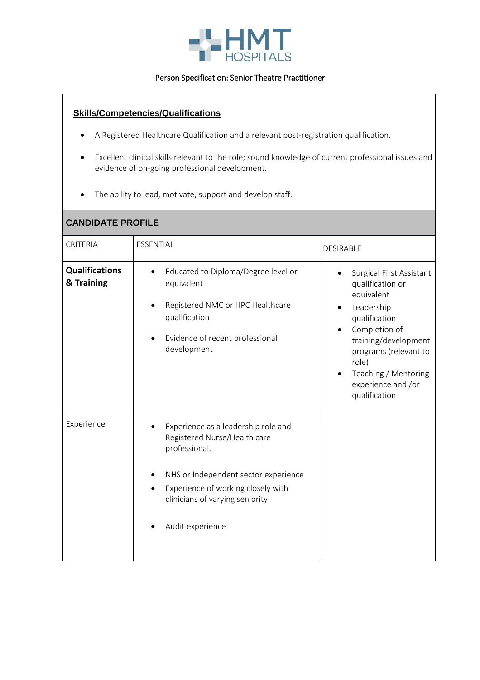

#### Person Specification: Senior Theatre Practitioner

### **Skills/Competencies/Qualifications**

- A Registered Healthcare Qualification and a relevant post-registration qualification.
- Excellent clinical skills relevant to the role; sound knowledge of current professional issues and evidence of on-going professional development.
- The ability to lead, motivate, support and develop staff.

## **CANDIDATE PROFILE**

| CRITERIA                            | ESSENTIAL                                                                                                                                                                                                                 | <b>DESIRABLE</b>                                                                                                                                                                                                                    |
|-------------------------------------|---------------------------------------------------------------------------------------------------------------------------------------------------------------------------------------------------------------------------|-------------------------------------------------------------------------------------------------------------------------------------------------------------------------------------------------------------------------------------|
| <b>Qualifications</b><br>& Training | Educated to Diploma/Degree level or<br>equivalent<br>Registered NMC or HPC Healthcare<br>qualification<br>Evidence of recent professional<br>development                                                                  | Surgical First Assistant<br>qualification or<br>equivalent<br>Leadership<br>qualification<br>Completion of<br>training/development<br>programs (relevant to<br>role)<br>Teaching / Mentoring<br>experience and /or<br>qualification |
| Experience                          | Experience as a leadership role and<br>Registered Nurse/Health care<br>professional.<br>NHS or Independent sector experience<br>Experience of working closely with<br>clinicians of varying seniority<br>Audit experience |                                                                                                                                                                                                                                     |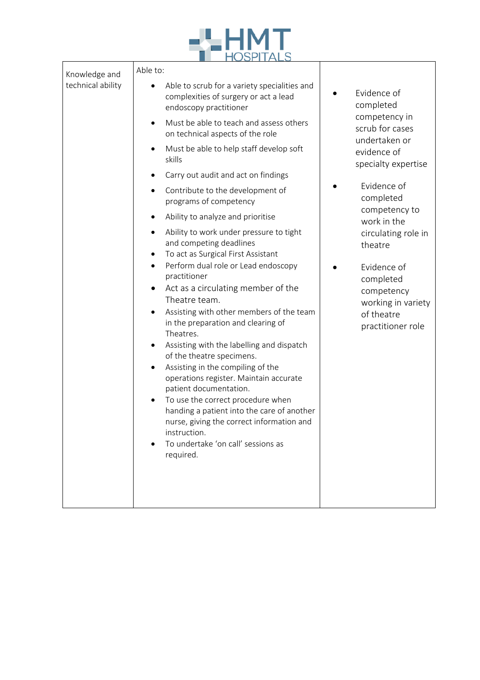

| Knowledge and<br>technical ability | Able to:                                                                                                                                                                                                                                                                                                                                                                                                                                                                                                                                                                                                                                                                                                                                             |                                                                                                                                                  |
|------------------------------------|------------------------------------------------------------------------------------------------------------------------------------------------------------------------------------------------------------------------------------------------------------------------------------------------------------------------------------------------------------------------------------------------------------------------------------------------------------------------------------------------------------------------------------------------------------------------------------------------------------------------------------------------------------------------------------------------------------------------------------------------------|--------------------------------------------------------------------------------------------------------------------------------------------------|
|                                    | Able to scrub for a variety specialities and<br>complexities of surgery or act a lead<br>endoscopy practitioner                                                                                                                                                                                                                                                                                                                                                                                                                                                                                                                                                                                                                                      | Evidence of<br>completed                                                                                                                         |
|                                    | Must be able to teach and assess others<br>$\bullet$<br>on technical aspects of the role                                                                                                                                                                                                                                                                                                                                                                                                                                                                                                                                                                                                                                                             | competency in<br>scrub for cases<br>undertaken or                                                                                                |
|                                    | Must be able to help staff develop soft<br>$\bullet$<br>skills                                                                                                                                                                                                                                                                                                                                                                                                                                                                                                                                                                                                                                                                                       | evidence of<br>specialty expertise                                                                                                               |
|                                    | Carry out audit and act on findings<br>٠                                                                                                                                                                                                                                                                                                                                                                                                                                                                                                                                                                                                                                                                                                             |                                                                                                                                                  |
|                                    | Contribute to the development of<br>programs of competency                                                                                                                                                                                                                                                                                                                                                                                                                                                                                                                                                                                                                                                                                           | Evidence of<br>completed                                                                                                                         |
|                                    | Ability to analyze and prioritise<br>$\bullet$                                                                                                                                                                                                                                                                                                                                                                                                                                                                                                                                                                                                                                                                                                       | competency to                                                                                                                                    |
|                                    | Ability to work under pressure to tight<br>٠<br>and competing deadlines<br>To act as Surgical First Assistant<br>٠<br>Perform dual role or Lead endoscopy<br>$\bullet$<br>practitioner<br>Act as a circulating member of the<br>$\bullet$<br>Theatre team.<br>Assisting with other members of the team<br>in the preparation and clearing of<br>Theatres.<br>Assisting with the labelling and dispatch<br>$\bullet$<br>of the theatre specimens.<br>Assisting in the compiling of the<br>٠<br>operations register. Maintain accurate<br>patient documentation.<br>To use the correct procedure when<br>handing a patient into the care of another<br>nurse, giving the correct information and<br>instruction.<br>To undertake 'on call' sessions as | work in the<br>circulating role in<br>theatre<br>Evidence of<br>completed<br>competency<br>working in variety<br>of theatre<br>practitioner role |
|                                    | required.                                                                                                                                                                                                                                                                                                                                                                                                                                                                                                                                                                                                                                                                                                                                            |                                                                                                                                                  |